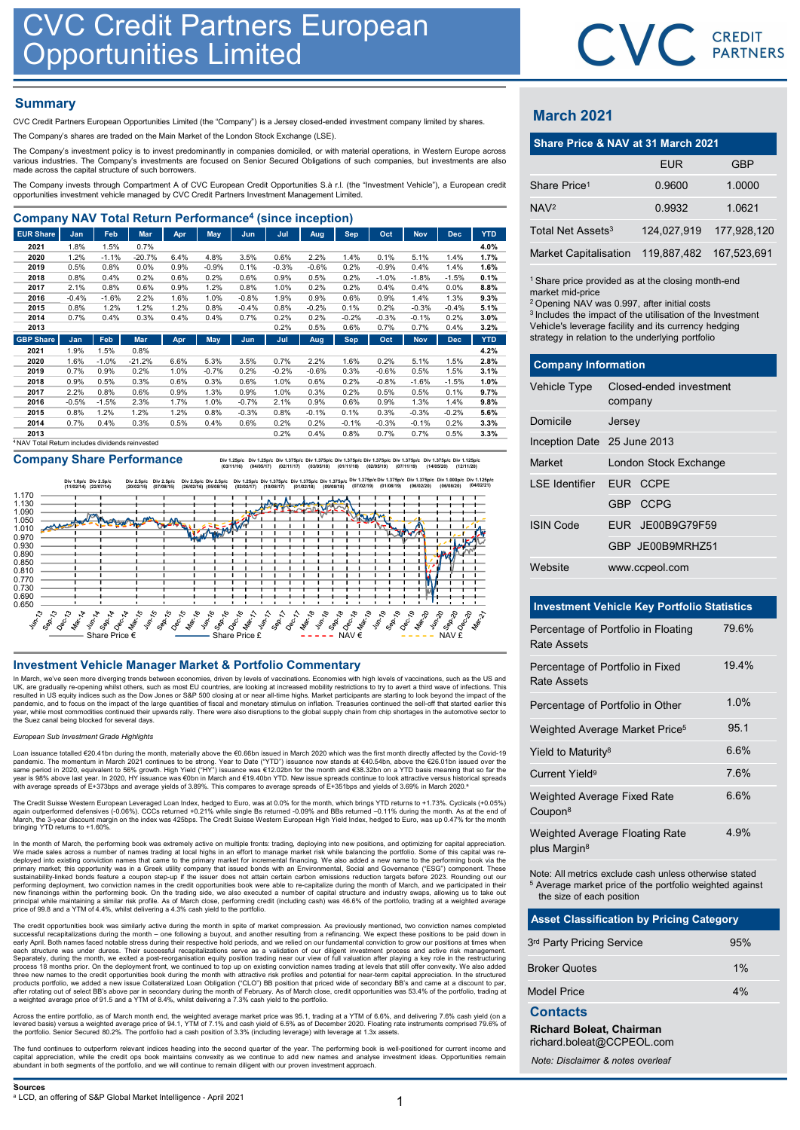## **Summary**

| <b>CVC Credit Partners European<br/>Opportunities Limited</b>                                                                                                                                                                                 |                 |                 |              |              |              |                 |              |              |                 |                 |                 |              |              |                                                                  | CVC CRI                 |             |              |
|-----------------------------------------------------------------------------------------------------------------------------------------------------------------------------------------------------------------------------------------------|-----------------|-----------------|--------------|--------------|--------------|-----------------|--------------|--------------|-----------------|-----------------|-----------------|--------------|--------------|------------------------------------------------------------------|-------------------------|-------------|--------------|
| <b>Summary</b><br>CVC Credit Partners European Opportunities Limited (the "Company") is a Jersey closed-ended investment company limited by shares.<br>The Company's shares are traded on the Main Market of the London Stock Exchange (LSE). |                 |                 |              |              |              |                 |              |              |                 |                 |                 |              |              | <b>March 2021</b>                                                |                         |             |              |
| The Company's investment policy is to invest predominantly in companies domiciled, or with material operations, in Western Europe across                                                                                                      |                 |                 |              |              |              |                 |              |              |                 |                 |                 |              |              | Share Price & NAV at 31 March 2021                               |                         |             |              |
| various industries. The Company's investments are focused on Senior Secured Obligations of such companies, but investments are also<br>made across the capital structure of such borrowers.                                                   |                 |                 |              |              |              |                 |              |              |                 |                 |                 |              |              |                                                                  |                         | <b>EUR</b>  |              |
| The Company invests through Compartment A of CVC European Credit Opportunities S.à r.l. (the "Investment Vehicle"), a European credit                                                                                                         |                 |                 |              |              |              |                 |              |              |                 |                 |                 |              |              | Share Price <sup>1</sup>                                         |                         | 0.9600      | $\mathbf 1$  |
| opportunities investment vehicle managed by CVC Credit Partners Investment Management Limited.                                                                                                                                                |                 |                 |              |              |              |                 |              |              |                 |                 |                 |              |              | NAV <sup>2</sup>                                                 |                         | 0.9932      | $\mathbf{1}$ |
| <b>Company NAV Total Return Performance<sup>4</sup> (since inception)</b>                                                                                                                                                                     |                 |                 |              |              |              |                 |              |              |                 |                 |                 |              |              |                                                                  |                         |             |              |
| <b>EUR Share</b>                                                                                                                                                                                                                              | Jan             | Feb             | Mar          | Apr          | May          | Jun             | Jul          | Aug          | Sep             | Oct             | <b>Nov</b>      | <b>Dec</b>   | <b>YTD</b>   | Total Net Assets <sup>3</sup>                                    |                         | 124,027,919 | 177          |
| 2021                                                                                                                                                                                                                                          | 1.8%            | 1.5%            | 0.7%         |              |              |                 |              |              |                 |                 |                 |              | 4.0%         |                                                                  |                         |             |              |
| 2020                                                                                                                                                                                                                                          | 1.2%            | $-1.1%$         | $-20.7%$     | 6.4%         | 4.8%         | 3.5%            | 0.6%         | 2.2%         | 1.4%            | 0.1%            | 5.1%            | 1.4%         | 1.7%         | <b>Market Capitalisation</b>                                     |                         | 119.887.482 | 167.         |
| 2019                                                                                                                                                                                                                                          | 0.5%            | 0.8%            | 0.0%         | 0.9%         | $-0.9%$      | 0.1%            | $-0.3%$      | $-0.6%$      | 0.2%            | $-0.9%$         | 0.4%            | 1.4%         | 1.6%         |                                                                  |                         |             |              |
| 2018                                                                                                                                                                                                                                          | 0.8%            | 0.4%            | 0.2%         | 0.6%         | 0.2%         | 0.6%            | 0.9%         | 0.5%         | 0.2%            | $-1.0%$         | $-1.8%$         | $-1.5%$      | 0.1%         | <sup>1</sup> Share price provided as at the closing month-en     |                         |             |              |
| 2017<br>2016                                                                                                                                                                                                                                  | 2.1%<br>$-0.4%$ | 0.8%<br>$-1.6%$ | 0.6%<br>2.2% | 0.9%<br>1.6% | 1.2%<br>1.0% | 0.8%<br>$-0.8%$ | 1.0%<br>1.9% | 0.2%<br>0.9% | 0.2%<br>0.6%    | 0.4%<br>0.9%    | 0.4%<br>1.4%    | 0.0%<br>1.3% | 8.8%<br>9.3% | market mid-price                                                 |                         |             |              |
| 2015                                                                                                                                                                                                                                          | 0.8%            | 1.2%            | 1.2%         | 1.2%         | 0.8%         | $-0.4%$         | 0.8%         | $-0.2%$      | 0.1%            | 0.2%            | $-0.3%$         | $-0.4%$      | 5.1%         | <sup>2</sup> Opening NAV was 0.997, after initial costs          |                         |             |              |
| 2014                                                                                                                                                                                                                                          | 0.7%            | 0.4%            | 0.3%         | 0.4%         | 0.4%         | 0.7%            | 0.2%         | 0.2%         | $-0.2%$         | $-0.3%$         | $-0.1%$         | 0.2%         | 3.0%         | <sup>3</sup> Includes the impact of the utilisation of the Inves |                         |             |              |
| 2013                                                                                                                                                                                                                                          |                 |                 |              |              |              |                 | 0.2%         | 0.5%         | 0.6%            | 0.7%            | 0.7%            | 0.4%         | 3.2%         | Vehicle's leverage facility and its currency hedgin              |                         |             |              |
| <b>GBP Share</b>                                                                                                                                                                                                                              | Jan             | Feb             | <b>Mar</b>   | Apr          | <b>May</b>   | Jun             | Jul          | Aug          | <b>Sep</b>      | Oct             | <b>Nov</b>      | <b>Dec</b>   | <b>YTD</b>   | strategy in relation to the underlying portfolio                 |                         |             |              |
| 2021                                                                                                                                                                                                                                          | 1.9%            | 1.5%            | 0.8%         |              |              |                 |              |              |                 |                 |                 |              | 4.2%         |                                                                  |                         |             |              |
| 2020                                                                                                                                                                                                                                          | 1.6%            | $-1.0%$         | $-21.2%$     | 6.6%         | 5.3%         | 3.5%            | 0.7%         | 2.2%         | 1.6%            | 0.2%            | 5.1%            | 1.5%         | 2.8%         | <b>Company Information</b>                                       |                         |             |              |
| 2019                                                                                                                                                                                                                                          | 0.7%            | 0.9%            | 0.2%         | 1.0%         | $-0.7%$      | 0.2%            | $-0.2%$      | $-0.6%$      | 0.3%            | $-0.6%$         | 0.5%            | 1.5%         | 3.1%         |                                                                  |                         |             |              |
| 2018                                                                                                                                                                                                                                          | 0.9%            | 0.5%            | 0.3%         | 0.6%         | 0.3%         | 0.6%            | 1.0%         | 0.6%         | 0.2%            | $-0.8%$         | $-1.6%$         | $-1.5%$      | 1.0%         | Vehicle Type                                                     | Closed-ended investment |             |              |
| 2017                                                                                                                                                                                                                                          | 2.2%            | 0.8%            | 0.6%         | 0.9%         | 1.3%         | 0.9%            | 1.0%         | 0.3%         | 0.2%            | 0.5%            | 0.5%            | 0.1%         | 9.7%         |                                                                  |                         |             |              |
| 2016                                                                                                                                                                                                                                          | $-0.5%$         | $-1.5%$         | 2.3%         | 1.7%         | 1.0%         | $-0.7%$         | 2.1%         | 0.9%         | 0.6%            | 0.9%            | 1.3%            | 1.4%         | 9.8%         |                                                                  | company                 |             |              |
| 2015                                                                                                                                                                                                                                          | 0.8%            | 1.2%            | 1.2%         | 1.2%         | 0.8%         | $-0.3%$         | 0.8%         | $-0.1%$      | 0.1%            | 0.3%            | $-0.3%$         | $-0.2%$      | 5.6%         | Domicile                                                         | Jersey                  |             |              |
| 2014                                                                                                                                                                                                                                          | 0.7%            | 0.4%            | 0.3%         | 0.5%         | 0.4%         | 0.6%            | 0.2%<br>0.2% | 0.2%<br>0.4% | $-0.1%$<br>0.8% | $-0.3%$<br>0.7% | $-0.1%$<br>0.7% | 0.2%<br>0.5% | 3.3%<br>3.3% |                                                                  |                         |             |              |
| 2013                                                                                                                                                                                                                                          |                 |                 |              |              |              |                 |              |              |                 |                 |                 |              |              |                                                                  |                         |             |              |

Company Share Performance **by 1.25pic Div 1.375pic Div 1.375pic Div** 1.375pic Div 1.375pic Div 1.375pic Div 1.375pic Div 1.375pic Div 1.375pic Div 1.375pic Div 1.375pic Div 1.375pic Div 1.375pic Div 1.375pic Div 1.375pic D



In March, we've seen more diverging trends between economies, driven by levels of vaccinations. Economies with high levels of vaccinations, such as the US and UK, are gradually re-opening whilst others, such as most EU countries, are looking at increased mobility restrictions to try to avert a third wave of infections. This resulted in US equity inclices such as the Dow Jones or

### European Sub Investment Grade Highlights

Loan issuance totalled €20.41bn during the month, materially above the €0.66bn issued in March 2020 which was the first month directly affected by the Covid-19 pandemic. The momentum in March 2021 continues to be strong. Year to Date ("YTD") issuance now stands at €40.54bn, above the €26.01bn issued over the<br>same period in 2020, equivalent to 56% growth. High Yield ("HY") issuan

The Credit Suisse Western European Leveraged Loan Index, hedged to Euro, was at 0.0% for the month, which brings YTD returns to +1.73%. Cyclicals (+0.05%) again outperformed defensives (-0.06%). CCCs returned +0.21% while single Bs returned -0.09% and BBs returned –0.11% during the month. As at the end of<br>March, the 3-year discount margin on the index was 425bps. The Credit

In the month of March, the performing book was extremely active on multiple fronts: trading, deploying into new positions, and optimizing for capital appreciation.<br>We made sales across a number of names trading at local hi primary market; this opportunity was in a Greek utility company that issued bonds with an Environmental, Social and Governance ("ESG") component. These<br>sustainability-linked bonds feature a coupon step-up if the issuer doe

The credit opportunities book was similarly active during the month in spite of market compression. As previously mentioned, two conviction names completed<br>successful recapitalizations during the month – one following a bu Separately, during the month, we exited a post-reorganisation equity position trading near our view of full valuation after playing a key role in the restructuring<br>process 18 months prior. On the deployment front, we conti

Across the entire portfolio, as of March month end, the weighted average market price was 95.1, trading at a YTM of 6.6%, and delivering 7.6% cash yield (on a<br>levered basis) versus a weighted average price of 94.1, YTM of

The fund continues to outperform relevant indices heading into the second quarter of the year. The performing book is well-positioned for current income and<br>capital appreciation, while the credit ops book maintains convexi



# March 2021

|                               | CVC CREDIT                                                                                                                                                                                                                                                                                                    |             |
|-------------------------------|---------------------------------------------------------------------------------------------------------------------------------------------------------------------------------------------------------------------------------------------------------------------------------------------------------------|-------------|
|                               |                                                                                                                                                                                                                                                                                                               |             |
|                               |                                                                                                                                                                                                                                                                                                               |             |
| <b>March 2021</b>             |                                                                                                                                                                                                                                                                                                               |             |
|                               | Share Price & NAV at 31 March 2021                                                                                                                                                                                                                                                                            |             |
|                               | <b>EUR</b>                                                                                                                                                                                                                                                                                                    | <b>GBP</b>  |
| Share Price <sup>1</sup>      | 0.9600                                                                                                                                                                                                                                                                                                        | 1.0000      |
| NAV <sup>2</sup>              | 0.9932                                                                                                                                                                                                                                                                                                        | 1.0621      |
| Total Net Assets <sup>3</sup> | 124,027,919                                                                                                                                                                                                                                                                                                   | 177,928,120 |
| <b>Market Capitalisation</b>  | 119,887,482                                                                                                                                                                                                                                                                                                   | 167,523,691 |
| market mid-price              | <sup>1</sup> Share price provided as at the closing month-end<br><sup>2</sup> Opening NAV was 0.997, after initial costs<br><sup>3</sup> Includes the impact of the utilisation of the Investment<br>Vehicle's leverage facility and its currency hedging<br>strategy in relation to the underlying portfolio |             |
| <b>Company Information</b>    |                                                                                                                                                                                                                                                                                                               |             |
| Vehicle Type                  | Closed-ended investment<br>company                                                                                                                                                                                                                                                                            |             |
| Domicile                      | Jersey                                                                                                                                                                                                                                                                                                        |             |
| Inception Date 25 June 2013   |                                                                                                                                                                                                                                                                                                               |             |
| Market                        | London Stock Exchange                                                                                                                                                                                                                                                                                         |             |

| <b>March 2021</b>                                  |                                                                                                                                                                                                                                                                                                               |                                                    |             |  |  |
|----------------------------------------------------|---------------------------------------------------------------------------------------------------------------------------------------------------------------------------------------------------------------------------------------------------------------------------------------------------------------|----------------------------------------------------|-------------|--|--|
|                                                    |                                                                                                                                                                                                                                                                                                               | Share Price & NAV at 31 March 2021                 |             |  |  |
|                                                    |                                                                                                                                                                                                                                                                                                               | <b>EUR</b>                                         | <b>GBP</b>  |  |  |
| Share Price <sup>1</sup>                           |                                                                                                                                                                                                                                                                                                               | 0.9600                                             | 1.0000      |  |  |
| NAV <sup>2</sup>                                   |                                                                                                                                                                                                                                                                                                               | 0.9932                                             | 1.0621      |  |  |
| Total Net Assets <sup>3</sup>                      |                                                                                                                                                                                                                                                                                                               | 124,027,919                                        | 177,928,120 |  |  |
| <b>Market Capitalisation</b>                       |                                                                                                                                                                                                                                                                                                               | 119,887,482                                        | 167,523,691 |  |  |
| market mid-price                                   | <sup>1</sup> Share price provided as at the closing month-end<br><sup>2</sup> Opening NAV was 0.997, after initial costs<br><sup>3</sup> Includes the impact of the utilisation of the Investment<br>Vehicle's leverage facility and its currency hedging<br>strategy in relation to the underlying portfolio |                                                    |             |  |  |
| <b>Company Information</b>                         |                                                                                                                                                                                                                                                                                                               |                                                    |             |  |  |
| Vehicle Type                                       | company                                                                                                                                                                                                                                                                                                       | Closed-ended investment                            |             |  |  |
| Domicile                                           | Jersey                                                                                                                                                                                                                                                                                                        |                                                    |             |  |  |
| Inception Date 25 June 2013                        |                                                                                                                                                                                                                                                                                                               |                                                    |             |  |  |
| Market                                             |                                                                                                                                                                                                                                                                                                               | London Stock Exchange                              |             |  |  |
| <b>LSE</b> Identifier                              |                                                                                                                                                                                                                                                                                                               | EUR CCPE                                           |             |  |  |
|                                                    |                                                                                                                                                                                                                                                                                                               | GBP CCPG                                           |             |  |  |
| <b>ISIN Code</b>                                   |                                                                                                                                                                                                                                                                                                               | JE00B9G79F59<br>EUR                                |             |  |  |
|                                                    |                                                                                                                                                                                                                                                                                                               | GBP JE00B9MRHZ51                                   |             |  |  |
| Website                                            |                                                                                                                                                                                                                                                                                                               | www.ccpeol.com                                     |             |  |  |
|                                                    |                                                                                                                                                                                                                                                                                                               | <b>Investment Vehicle Key Portfolio Statistics</b> |             |  |  |
| Percentage of Portfolio in Floating<br>Rate Assets |                                                                                                                                                                                                                                                                                                               |                                                    | 79.6%       |  |  |

### Investment Vehicle Key Portfolio Statistics

|                                                              | GBP JE00B9MRHZ51                                                                                                              |       |
|--------------------------------------------------------------|-------------------------------------------------------------------------------------------------------------------------------|-------|
| Website                                                      | www.ccpeol.com                                                                                                                |       |
|                                                              | <b>Investment Vehicle Key Portfolio Statistics</b>                                                                            |       |
|                                                              | Percentage of Portfolio in Floating                                                                                           | 79.6% |
| <b>Rate Assets</b>                                           |                                                                                                                               |       |
| <b>Rate Assets</b>                                           | Percentage of Portfolio in Fixed                                                                                              | 19.4% |
|                                                              | Percentage of Portfolio in Other                                                                                              | 1.0%  |
|                                                              | Weighted Average Market Price <sup>5</sup>                                                                                    | 95.1  |
| Yield to Maturity <sup>8</sup>                               |                                                                                                                               | 6.6%  |
| Current Yield <sup>9</sup>                                   |                                                                                                                               | 7.6%  |
| Weighted Average Fixed Rate<br>Coupon <sup>8</sup>           |                                                                                                                               | 6.6%  |
| plus Margin <sup>8</sup>                                     | Weighted Average Floating Rate                                                                                                | 4.9%  |
| the size of each position                                    | Note: All metrics exclude cash unless otherwise stated<br><sup>5</sup> Average market price of the portfolio weighted against |       |
|                                                              | <b>Asset Classification by Pricing Category</b>                                                                               |       |
| 3rd Party Pricing Service                                    |                                                                                                                               | 95%   |
| <b>Broker Quotes</b>                                         |                                                                                                                               | 1%    |
| <b>Model Price</b>                                           |                                                                                                                               | 4%    |
| <b>Contacts</b>                                              |                                                                                                                               |       |
| <b>Richard Boleat, Chairman</b><br>richard.boleat@CCPEOL.com |                                                                                                                               |       |
| Note: Disclaimer & notes overleaf                            |                                                                                                                               |       |

| <b>Asset Classification by Pricing Category</b> |     |  |  |  |
|-------------------------------------------------|-----|--|--|--|
| 3rd Party Pricing Service                       | 95% |  |  |  |
| <b>Broker Quotes</b>                            | 1%  |  |  |  |
| <b>Model Price</b>                              | 4%  |  |  |  |
| <b>Contacts</b>                                 |     |  |  |  |